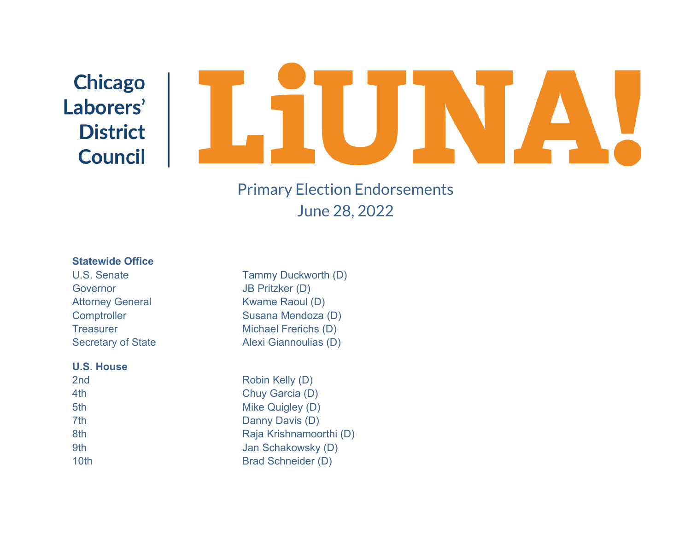# **Chicago** Laborers' **District Council**

## Primary Election Endorsements June 28, 2022

#### **Statewide Office**

Governor JB Pritzker (D)

#### **U.S. House**

U.S. Senate Tammy Duckworth (D) Attorney General Kwame Raoul (D) Comptroller Susana Mendoza (D) Treasurer Michael Frerichs (D) Secretary of State Alexi Giannoulias (D)

2nd Robin Kelly (D) 4th Chuy Garcia (D) 5th Mike Quigley (D) 7th Danny Davis (D) 8th **Raja Krishnamoorthi (D)** 9th Jan Schakowsky (D) 10th Brad Schneider (D)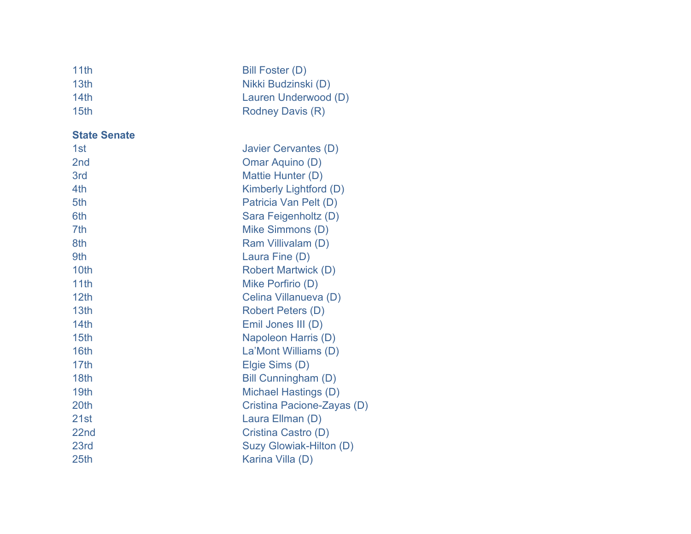| 11th<br>13th<br>14th<br>15th | Bill Foster (D)<br>Nikki Budzinski (D)<br>Lauren Underwood (D)<br><b>Rodney Davis (R)</b> |
|------------------------------|-------------------------------------------------------------------------------------------|
| <b>State Senate</b>          |                                                                                           |
| 1st                          | Javier Cervantes (D)                                                                      |
| 2 <sub>nd</sub>              | Omar Aquino (D)                                                                           |
| 3rd                          | Mattie Hunter (D)                                                                         |
| 4th                          | Kimberly Lightford (D)                                                                    |
| 5th                          | Patricia Van Pelt (D)                                                                     |
| 6th                          | Sara Feigenholtz (D)                                                                      |
| 7th                          | Mike Simmons (D)                                                                          |
| 8th                          | Ram Villivalam (D)                                                                        |
| 9th                          | Laura Fine (D)                                                                            |
| 10th                         | <b>Robert Martwick (D)</b>                                                                |
| 11th                         | Mike Porfirio (D)                                                                         |
| 12 <sub>th</sub>             | Celina Villanueva (D)                                                                     |
| 13th                         | <b>Robert Peters (D)</b>                                                                  |
| 14th                         | Emil Jones III (D)                                                                        |
| 15th                         | Napoleon Harris (D)                                                                       |
| 16th                         | La'Mont Williams (D)                                                                      |
| 17 <sub>th</sub>             | Elgie Sims (D)                                                                            |
| 18th                         | Bill Cunningham (D)                                                                       |
| 19 <sub>th</sub>             | <b>Michael Hastings (D)</b>                                                               |
| 20th                         | Cristina Pacione-Zayas (D)                                                                |
| 21st                         | Laura Ellman (D)                                                                          |
| 22nd                         | Cristina Castro (D)                                                                       |
| 23rd                         | <b>Suzy Glowiak-Hilton (D)</b>                                                            |
| 25th                         | Karina Villa (D)                                                                          |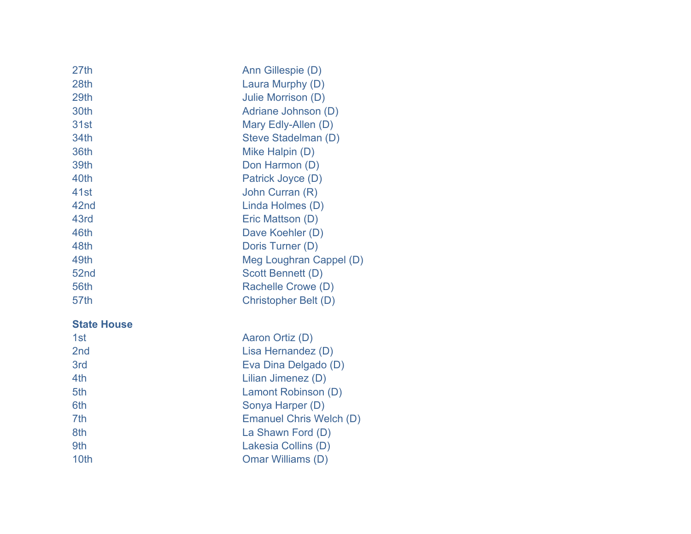| 27th | Ann Gillespie (D)       |
|------|-------------------------|
| 28th | Laura Murphy (D)        |
| 29th | Julie Morrison (D)      |
| 30th | Adriane Johnson (D)     |
| 31st | Mary Edly-Allen (D)     |
| 34th | Steve Stadelman (D)     |
| 36th | Mike Halpin (D)         |
| 39th | Don Harmon (D)          |
| 40th | Patrick Joyce (D)       |
| 41st | John Curran (R)         |
| 42nd | Linda Holmes (D)        |
| 43rd | Eric Mattson (D)        |
| 46th | Dave Koehler (D)        |
| 48th | Doris Turner (D)        |
| 49th | Meg Loughran Cappel (D) |
| 52nd | Scott Bennett (D)       |
| 56th | Rachelle Crowe (D)      |
| 57th | Christopher Belt (D)    |
|      |                         |

### **State House**

| 1st             | Aaron Ortiz (D)                |
|-----------------|--------------------------------|
| 2 <sub>nd</sub> | Lisa Hernandez (D)             |
| 3rd             | Eva Dina Delgado (D)           |
| 4th             | Lilian Jimenez (D)             |
| 5th             | Lamont Robinson (D)            |
| 6th             | Sonya Harper (D)               |
| 7th             | <b>Emanuel Chris Welch (D)</b> |
| 8th             | La Shawn Ford (D)              |
| 9th             | Lakesia Collins (D)            |
| 10th            | Omar Williams (D)              |
|                 |                                |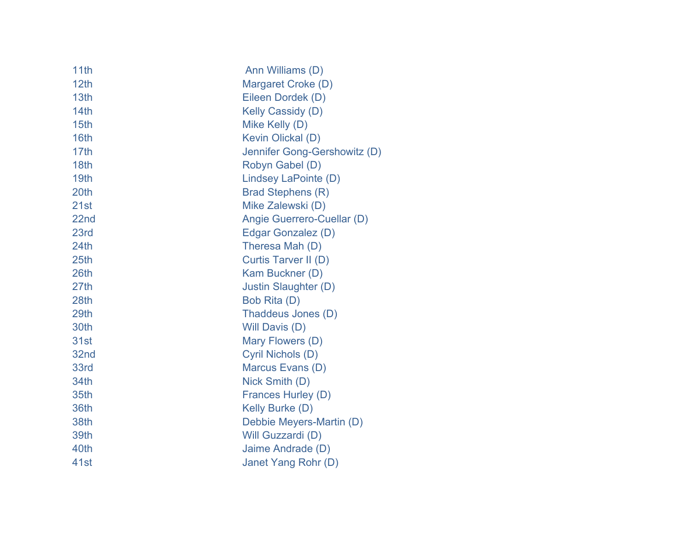| 11th             | Ann Williams (D)             |
|------------------|------------------------------|
| 12th             | Margaret Croke (D)           |
| 13th             | Eileen Dordek (D)            |
| 14th             | Kelly Cassidy (D)            |
| 15th             | Mike Kelly (D)               |
| 16th             | Kevin Olickal (D)            |
| 17th             | Jennifer Gong-Gershowitz (D) |
| 18th             | Robyn Gabel (D)              |
| 19th             | Lindsey LaPointe (D)         |
| 20th             | <b>Brad Stephens (R)</b>     |
| 21st             | Mike Zalewski (D)            |
| 22nd             | Angie Guerrero-Cuellar (D)   |
| 23rd             | Edgar Gonzalez (D)           |
| 24th             | Theresa Mah (D)              |
| 25 <sub>th</sub> | Curtis Tarver II (D)         |
| 26th             | Kam Buckner (D)              |
| 27th             | Justin Slaughter (D)         |
| 28th             | Bob Rita (D)                 |
| 29th             | Thaddeus Jones (D)           |
| 30th             | Will Davis (D)               |
| 31st             | Mary Flowers (D)             |
| 32nd             | Cyril Nichols (D)            |
| 33rd             | Marcus Evans (D)             |
| 34th             | Nick Smith (D)               |
| 35th             | Frances Hurley (D)           |
| 36th             | <b>Kelly Burke (D)</b>       |
| 38th             | Debbie Meyers-Martin (D)     |
| 39th             | Will Guzzardi (D)            |
| 40th             | Jaime Andrade (D)            |
| 41st             | Janet Yang Rohr (D)          |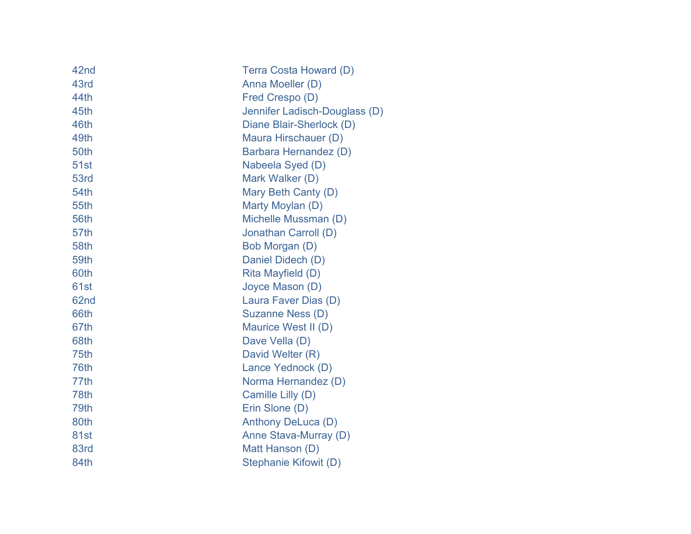| 42nd        | Terra Costa Howard (D)        |
|-------------|-------------------------------|
| 43rd        | Anna Moeller (D)              |
| 44th        | Fred Crespo (D)               |
| 45th        | Jennifer Ladisch-Douglass (D) |
| 46th        | Diane Blair-Sherlock (D)      |
| 49th        | Maura Hirschauer (D)          |
| 50th        | Barbara Hernandez (D)         |
| <b>51st</b> | Nabeela Syed (D)              |
| 53rd        | Mark Walker (D)               |
| 54th        | Mary Beth Canty (D)           |
| 55th        | Marty Moylan (D)              |
| 56th        | Michelle Mussman (D)          |
| 57th        | Jonathan Carroll (D)          |
| 58th        | Bob Morgan (D)                |
| 59th        | Daniel Didech (D)             |
| 60th        | Rita Mayfield (D)             |
| 61st        | Joyce Mason (D)               |
| 62nd        | Laura Faver Dias (D)          |
| 66th        | Suzanne Ness (D)              |
| 67th        | Maurice West II (D)           |
| 68th        | Dave Vella (D)                |
| 75th        | David Welter (R)              |
| 76th        | Lance Yednock (D)             |
| 77th        | Norma Hernandez (D)           |
| 78th        | Camille Lilly (D)             |
| 79th        | Erin Slone (D)                |
| 80th        | Anthony DeLuca (D)            |
| 81st        | Anne Stava-Murray (D)         |
| 83rd        | Matt Hanson (D)               |
| 84th        | <b>Stephanie Kifowit (D)</b>  |
|             |                               |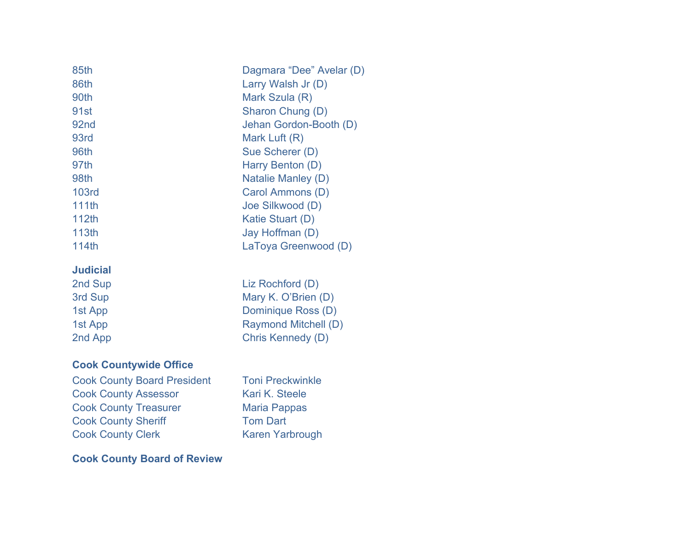| 85th              | Dagmara "Dee" Avelar (D) |
|-------------------|--------------------------|
| 86th              | Larry Walsh Jr (D)       |
| 90th              | Mark Szula (R)           |
| 91 <sub>st</sub>  | Sharon Chung (D)         |
| 92 <sub>nd</sub>  | Jehan Gordon-Booth (D)   |
| 93rd              | Mark Luft (R)            |
| 96th              | Sue Scherer (D)          |
| 97th              | Harry Benton (D)         |
| 98th              | Natalie Manley (D)       |
| <b>103rd</b>      | Carol Ammons (D)         |
| <b>111th</b>      | Joe Silkwood (D)         |
| 112th             | Katie Stuart (D)         |
| 113 <sub>th</sub> | Jay Hoffman (D)          |
| 114th             | LaToya Greenwood (D)     |
|                   |                          |

#### **Judicial**

### **Cook Countywide Office**

Cook County Board President Toni Preckwinkle Cook County Assessor Kari K. Steele Cook County Treasurer Maria Pappas Cook County Sheriff Tom Dart Cook County Clerk Karen Yarbrough

**Cook County Board of Review**

2nd Sup Liz Rochford (D) 3rd Sup Mary K. O'Brien (D) 1st App Dominique Ross (D) 1st App Raymond Mitchell (D) 2nd App Chris Kennedy (D)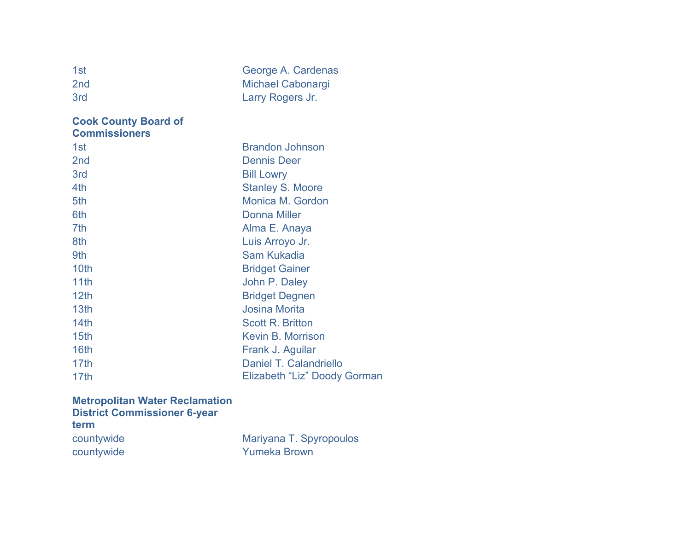| 1st<br>2 <sub>nd</sub>                              | George A. Cardenas<br><b>Michael Cabonargi</b> |
|-----------------------------------------------------|------------------------------------------------|
| 3rd                                                 | Larry Rogers Jr.                               |
| <b>Cook County Board of</b><br><b>Commissioners</b> |                                                |
| 1st                                                 | <b>Brandon Johnson</b>                         |
| 2 <sub>nd</sub>                                     | <b>Dennis Deer</b>                             |
| 3rd                                                 | <b>Bill Lowry</b>                              |
| 4th                                                 | <b>Stanley S. Moore</b>                        |
| 5th                                                 | Monica M. Gordon                               |
| 6th                                                 | <b>Donna Miller</b>                            |
| 7th                                                 | Alma E. Anaya                                  |
| 8th                                                 | Luis Arroyo Jr.                                |
| 9th                                                 | Sam Kukadia                                    |
| 10th                                                | <b>Bridget Gainer</b>                          |
| 11th                                                | John P. Daley                                  |
| 12 <sub>th</sub>                                    | <b>Bridget Degnen</b>                          |
| 13 <sub>th</sub>                                    | <b>Josina Morita</b>                           |
| 14th                                                | <b>Scott R. Britton</b>                        |
| 15th                                                | <b>Kevin B. Morrison</b>                       |
| 16th                                                | Frank J. Aguilar                               |
| 17 <sub>th</sub>                                    | Daniel T. Calandriello                         |
| 17th                                                | Elizabeth "Liz" Doody Gorman                   |

#### **Metropolitan Water Reclamation District Commissioner 6-year term** countywide **Mariyana T. Spyropoulos**

countywide **Yumeka Brown**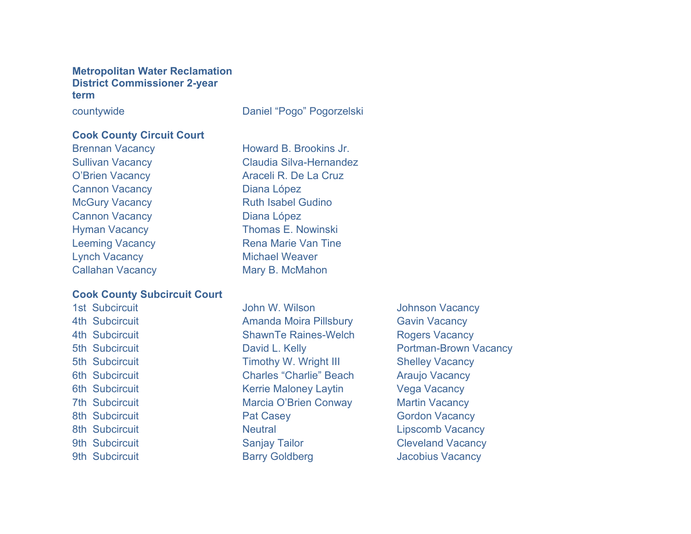#### **Metropolitan Water Reclamation District Commissioner 2-year term**

countywide Daniel "Pogo" Pogorzelski

#### **Cook County Circuit Court**

Cannon Vacancy **Diana López** Cannon Vacancy **Diana López** Lynch Vacancy **Michael Weaver** Callahan Vacancy Mary B. McMahon

#### **Cook County Subcircuit Court**

Brennan Vacancy **Howard B. Brookins Jr.** Sullivan Vacancy Claudia Silva-Hernandez O'Brien Vacancy **Araceli R. De La Cruz** McGury Vacancy **Ruth Isabel Gudino** Hyman Vacancy **Thomas E. Nowinski** Leeming Vacancy **Rena Marie Van Tine** 

1st Subcircuit **1st Subcircuit** John W. Wilson **Johnson Vacancy** 4th Subcircuit **Amanda Moira Pillsbury** Gavin Vacancy 4th Subcircuit **ShawnTe Raines-Welch** Rogers Vacancy 5th Subcircuit Timothy W. Wright III Shelley Vacancy 6th Subcircuit Charles "Charlie" Beach Araujo Vacancy 6th Subcircuit **Kerrie Maloney Laytin** Vega Vacancy 7th Subcircuit **Marcia O'Brien Conway** Martin Vacancy 8th Subcircuit **Pat Casey Pat Casey** Gordon Vacancy 8th Subcircuit **Neutral Lipscomb Vacancy Neutral** Lipscomb Vacancy 9th Subcircuit Sanjay Tailor Sanjay Town Cleveland Vacancy 9th Subcircuit **Barry Goldberg** Jacobius Vacancy

5th Subcircuit **David L. Kelly David L. Kelly Portman-Brown Vacancy**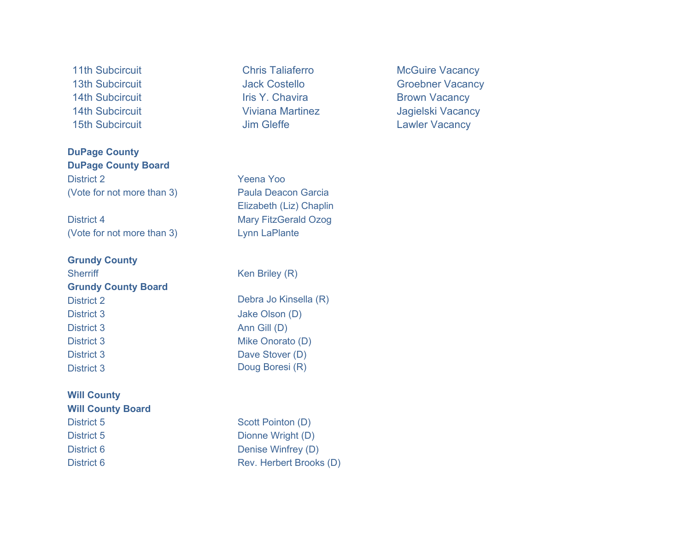**DuPage County DuPage County Board** District 2 Yeena Yoo (Vote for not more than 3) Paula Deacon Garcia

District 4 Mary FitzGerald Ozog (Vote for not more than 3) Lynn LaPlante

#### **Grundy County**

Sherriff Ken Briley (R) **Grundy County Board** District 2 Debra Jo Kinsella (R) District 3 Jake Olson (D) District 3 Ann Gill (D) District 3 Mike Onorato (D) District 3 Dave Stover (D) District 3 Doug Boresi (R)

#### **Will County Will County Board**

14th Subcircuit **Iris Y. Chavira Iris Y. Chavira** Brown Vacancy

Elizabeth (Liz) Chaplin

District 5 Scott Pointon (D) District 5 Dionne Wright (D) District 6 Denise Winfrey (D) District 6 Rev. Herbert Brooks (D)

11th Subcircuit **Chris Taliaferro** McGuire Vacancy 13th Subcircuit **Contract Contract Contract Contract Contract Contract Contract Contract Contract Contract Contract Contract Contract Contract Contract Contract Contract Contract Contract Contract Contract Contract Contrac** 14th Subcircuit **Viviana Martinez** Jagielski Vacancy 15th Subcircuit **15th Subcircuit** Jim Gleffe Lawler Vacancy